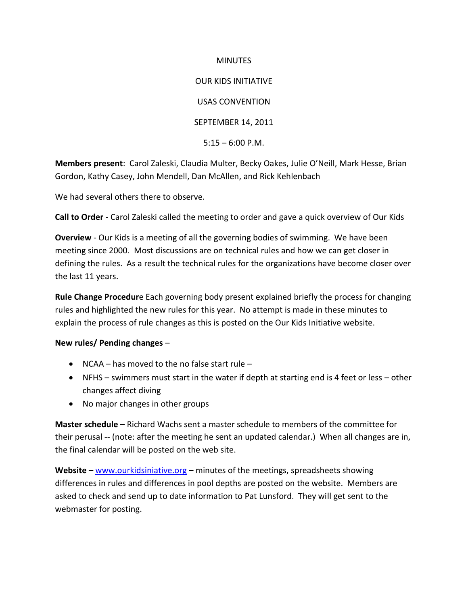## **MINUTES**

OUR KIDS INITIATIVE USAS CONVENTION SEPTEMBER 14, 2011  $5:15 - 6:00$  P.M.

**Members present**: Carol Zaleski, Claudia Multer, Becky Oakes, Julie O'Neill, Mark Hesse, Brian Gordon, Kathy Casey, John Mendell, Dan McAllen, and Rick Kehlenbach

We had several others there to observe.

**Call to Order -** Carol Zaleski called the meeting to order and gave a quick overview of Our Kids

**Overview** - Our Kids is a meeting of all the governing bodies of swimming. We have been meeting since 2000. Most discussions are on technical rules and how we can get closer in defining the rules. As a result the technical rules for the organizations have become closer over the last 11 years.

**Rule Change Procedur**e Each governing body present explained briefly the process for changing rules and highlighted the new rules for this year. No attempt is made in these minutes to explain the process of rule changes as this is posted on the Our Kids Initiative website.

## **New rules/ Pending changes** –

- NCAA has moved to the no false start rule –
- NFHS swimmers must start in the water if depth at starting end is 4 feet or less other changes affect diving
- No major changes in other groups

**Master schedule** – Richard Wachs sent a master schedule to members of the committee for their perusal -- (note: after the meeting he sent an updated calendar.) When all changes are in, the final calendar will be posted on the web site.

**Website** – [www.ourkidsiniative.org](http://www.ourkidsiniative.org/) – minutes of the meetings, spreadsheets showing differences in rules and differences in pool depths are posted on the website. Members are asked to check and send up to date information to Pat Lunsford. They will get sent to the webmaster for posting.